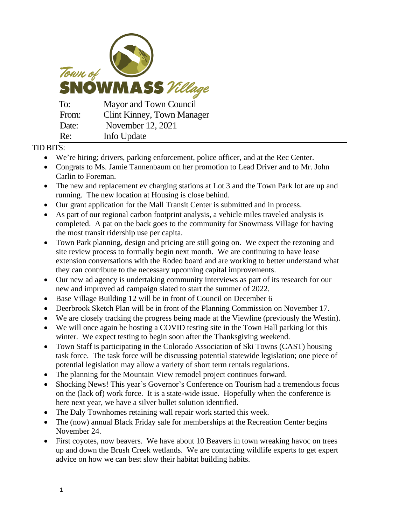

## TID BITS:

- We're hiring; drivers, parking enforcement, police officer, and at the Rec Center.
- Congrats to Ms. Jamie Tannenbaum on her promotion to Lead Driver and to Mr. John Carlin to Foreman.
- The new and replacement ev charging stations at Lot 3 and the Town Park lot are up and running. The new location at Housing is close behind.
- Our grant application for the Mall Transit Center is submitted and in process.
- As part of our regional carbon footprint analysis, a vehicle miles traveled analysis is completed. A pat on the back goes to the community for Snowmass Village for having the most transit ridership use per capita.
- Town Park planning, design and pricing are still going on. We expect the rezoning and site review process to formally begin next month. We are continuing to have lease extension conversations with the Rodeo board and are working to better understand what they can contribute to the necessary upcoming capital improvements.
- Our new ad agency is undertaking community interviews as part of its research for our new and improved ad campaign slated to start the summer of 2022.
- Base Village Building 12 will be in front of Council on December 6
- Deerbrook Sketch Plan will be in front of the Planning Commission on November 17.
- We are closely tracking the progress being made at the Viewline (previously the Westin).
- We will once again be hosting a COVID testing site in the Town Hall parking lot this winter. We expect testing to begin soon after the Thanksgiving weekend.
- Town Staff is participating in the Colorado Association of Ski Towns (CAST) housing task force. The task force will be discussing potential statewide legislation; one piece of potential legislation may allow a variety of short term rentals regulations.
- The planning for the Mountain View remodel project continues forward.
- Shocking News! This year's Governor's Conference on Tourism had a tremendous focus on the (lack of) work force. It is a state-wide issue. Hopefully when the conference is here next year, we have a silver bullet solution identified.
- The Daly Townhomes retaining wall repair work started this week.
- The (now) annual Black Friday sale for memberships at the Recreation Center begins November 24.
- First coyotes, now beavers. We have about 10 Beavers in town wreaking havoc on trees up and down the Brush Creek wetlands. We are contacting wildlife experts to get expert advice on how we can best slow their habitat building habits.